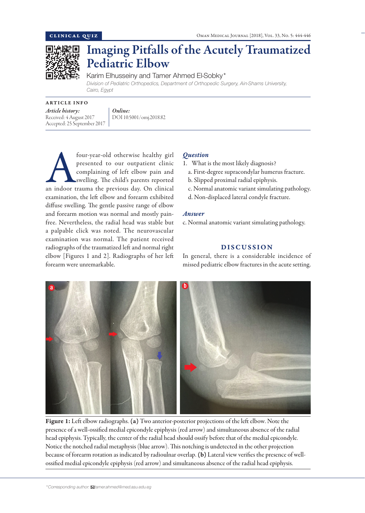

# Imaging Pitfalls of the Acutely Traumatized Pediatric Elbow

Karim Elhusseiny and Tamer Ahmed El-Sobky\*

*Division of Pediatric Orthopedics, Department of Orthopedic Surgery, Ain-Shams University, Cairo, Egypt*

ARTICLE INFO *Article history:*  Received: 4 August 2017 Accepted: 25 September 2017

*Online:* DOI 10.5001/omj.2018.82

four-year-old otherwise healthy girl<br>
presented to our outpatient clinic<br>
complaining of left elbow pain and<br>
swelling. The child's parents reported<br>
an indoor trauma the previous day. On clinical presented to our outpatient clinic complaining of left elbow pain and swelling. The child's parents reported examination, the left elbow and forearm exhibited diffuse swelling. The gentle passive range of elbow and forearm motion was normal and mostly painfree. Nevertheless, the radial head was stable but a palpable click was noted. The neurovascular examination was normal. The patient received radiographs of the traumatized left and normal right elbow [Figures 1 and 2]. Radiographs of her left forearm were unremarkable.

## *Question*

- 1. What is the most likely diagnosis?
	- a. First-degree supracondylar humerus fracture.
	- b. Slipped proximal radial epiphysis.
	- c. Normal anatomic variant simulating pathology.
	- d. Non-displaced lateral condyle fracture.

### *Answer*

c. Normal anatomic variant simulating pathology.

# DISCUSSION

In general, there is a considerable incidence of missed pediatric elbow fractures in the acute setting.



Figure 1: Left elbow radiographs. (a) Two anterior-posterior projections of the left elbow. Note the presence of a well-ossified medial epicondyle epiphysis (red arrow) and simultaneous absence of the radial head epiphysis. Typically, the center of the radial head should ossify before that of the medial epicondyle. Notice the notched radial metaphysis (blue arrow). This notching is undetected in the other projection because of forearm rotation as indicated by radioulnar overlap. (b) Lateral view verifies the presence of wellossified medial epicondyle epiphysis (red arrow) and simultaneous absence of the radial head epiphysis.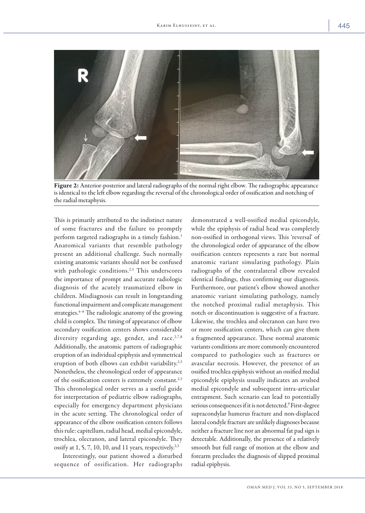

Figure 2: Anterior-posterior and lateral radiographs of the normal right elbow. The radiographic appearance is identical to the left elbow regarding the reversal of the chronological order of ossification and notching of the radial metaphysis.

This is primarily attributed to the indistinct nature of some fractures and the failure to promptly perform targeted radiographs in a timely fashion.<sup>1</sup> Anatomical variants that resemble pathology present an additional challenge. Such normally existing anatomic variants should not be confused with pathologic conditions.<sup>2,3</sup> This underscores the importance of prompt and accurate radiologic diagnosis of the acutely traumatized elbow in children. Misdiagnosis can result in longstanding functional impairment and complicate management strategies. $4-6$  The radiologic anatomy of the growing child is complex. The timing of appearance of elbow secondary ossification centers shows considerable diversity regarding age, gender, and race. $27,8$ Additionally, the anatomic pattern of radiographic eruption of an individual epiphysis and symmetrical eruption of both elbows can exhibit variability.<sup>2,3</sup> Nonetheless, the chronological order of appearance of the ossification centers is extremely constant.<sup>2,3</sup> This chronological order serves as a useful guide for interpretation of pediatric elbow radiographs, especially for emergency department physicians in the acute setting. The chronological order of appearance of the elbow ossification centers follows this rule: capitellum, radial head, medial epicondyle, trochlea, olecranon, and lateral epicondyle. They ossify at  $1, 5, 7, 10, 10,$  and  $11$  years, respectively.<sup>2,3</sup>

Interestingly, our patient showed a disturbed sequence of ossification. Her radiographs demonstrated a well-ossified medial epicondyle, while the epiphysis of radial head was completely non-ossified in orthogonal views. This 'reversal' of the chronological order of appearance of the elbow ossification centers represents a rare but normal anatomic variant simulating pathology. Plain radiographs of the contralateral elbow revealed identical findings, thus confirming our diagnosis. Furthermore, our patient's elbow showed another anatomic variant simulating pathology, namely the notched proximal radial metaphysis. This notch or discontinuation is suggestive of a fracture. Likewise, the trochlea and olecranon can have two or more ossification centers, which can give them a fragmented appearance. These normal anatomic variants conditions are more commonly encountered compared to pathologies such as fractures or avascular necrosis. However, the presence of an ossified trochlea epiphysis without an ossified medial epicondyle epiphysis usually indicates an avulsed medial epicondyle and subsequent intra-articular entrapment. Such scenario can lead to potentially serious consequences if it is not detected.<sup>9</sup> First-degree supracondylar humerus fracture and non-displaced lateral condyle fracture are unlikely diagnoses because neither a fracture line nor an abnormal fat pad sign is detectable. Additionally, the presence of a relatively smooth but full range of motion at the elbow and forearm precludes the diagnosis of slipped proximal radial epiphysis.